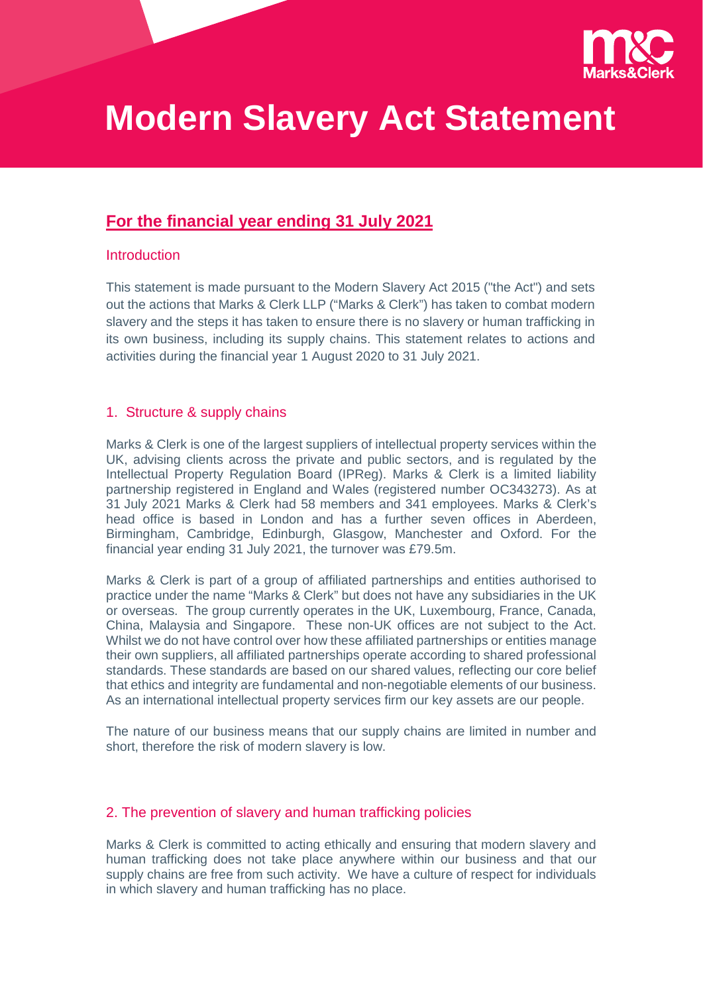

# **Modern Slavery Act Statement**

# **For the financial year ending 31 July 2021**

#### Introduction

This statement is made pursuant to the Modern Slavery Act 2015 ("the Act") and sets out the actions that Marks & Clerk LLP ("Marks & Clerk") has taken to combat modern slavery and the steps it has taken to ensure there is no slavery or human trafficking in its own business, including its supply chains. This statement relates to actions and activities during the financial year 1 August 2020 to 31 July 2021.

#### 1. Structure & supply chains

Marks & Clerk is one of the largest suppliers of intellectual property services within the UK, advising clients across the private and public sectors, and is regulated by the Intellectual Property Regulation Board (IPReg). Marks & Clerk is a limited liability partnership registered in England and Wales (registered number OC343273). As at 31 July 2021 Marks & Clerk had 58 members and 341 employees. Marks & Clerk's head office is based in London and has a further seven offices in Aberdeen, Birmingham, Cambridge, Edinburgh, Glasgow, Manchester and Oxford. For the financial year ending 31 July 2021, the turnover was £79.5m.

Marks & Clerk is part of a group of affiliated partnerships and entities authorised to practice under the name "Marks & Clerk" but does not have any subsidiaries in the UK or overseas. The group currently operates in the UK, Luxembourg, France, Canada, China, Malaysia and Singapore. These non-UK offices are not subject to the Act. Whilst we do not have control over how these affiliated partnerships or entities manage their own suppliers, all affiliated partnerships operate according to shared professional standards. These standards are based on our shared values, reflecting our core belief that ethics and integrity are fundamental and non-negotiable elements of our business. As an international intellectual property services firm our key assets are our people.

The nature of our business means that our supply chains are limited in number and short, therefore the risk of modern slavery is low.

#### 2. The prevention of slavery and human trafficking policies

Marks & Clerk is committed to acting ethically and ensuring that modern slavery and human trafficking does not take place anywhere within our business and that our supply chains are free from such activity. We have a culture of respect for individuals in which slavery and human trafficking has no place.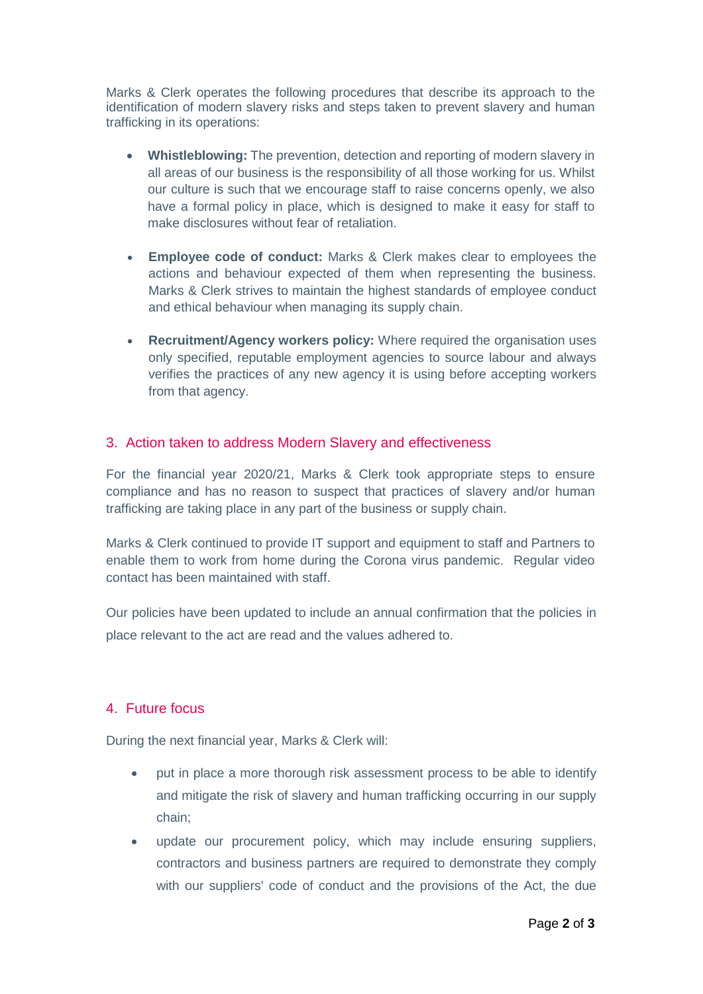Marks & Clerk operates the following procedures that describe its approach to the identification of modern slavery risks and steps taken to prevent slavery and human trafficking in its operations:

- **Whistleblowing:** The prevention, detection and reporting of modern slavery in all areas of our business is the responsibility of all those working for us. Whilst our culture is such that we encourage staff to raise concerns openly, we also have a formal policy in place, which is designed to make it easy for staff to make disclosures without fear of retaliation.
- **Employee code of conduct:** Marks & Clerk makes clear to employees the actions and behaviour expected of them when representing the business. Marks & Clerk strives to maintain the highest standards of employee conduct and ethical behaviour when managing its supply chain.
- **Recruitment/Agency workers policy:** Where required the organisation uses only specified, reputable employment agencies to source labour and always verifies the practices of any new agency it is using before accepting workers from that agency.

## 3. Action taken to address Modern Slavery and effectiveness

For the financial year 2020/21, Marks & Clerk took appropriate steps to ensure compliance and has no reason to suspect that practices of slavery and/or human trafficking are taking place in any part of the business or supply chain.

Marks & Clerk continued to provide IT support and equipment to staff and Partners to enable them to work from home during the Corona virus pandemic. Regular video contact has been maintained with staff.

Our policies have been updated to include an annual confirmation that the policies in place relevant to the act are read and the values adhered to.

## 4. Future focus

During the next financial year, Marks & Clerk will:

- put in place a more thorough risk assessment process to be able to identify and mitigate the risk of slavery and human trafficking occurring in our supply chain;
- update our procurement policy, which may include ensuring suppliers, contractors and business partners are required to demonstrate they comply with our suppliers' code of conduct and the provisions of the Act, the due